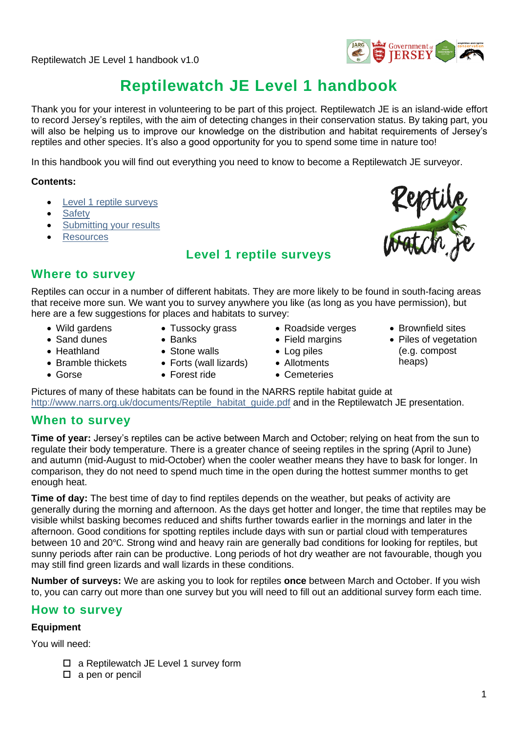

# **Reptilewatch JE Level 1 handbook**

Thank you for your interest in volunteering to be part of this project. Reptilewatch JE is an island-wide effort to record Jersey's reptiles, with the aim of detecting changes in their conservation status. By taking part, you will also be helping us to improve our knowledge on the distribution and habitat requirements of Jersey's reptiles and other species. It's also a good opportunity for you to spend some time in nature too!

In this handbook you will find out everything you need to know to become a Reptilewatch JE surveyor.

#### **Contents:**

- [Level 1 reptile](#page-0-0) surveys
- [Safety](#page-1-0)
- **[Submitting your results](#page-1-1)**
- <span id="page-0-0"></span>**[Resources](#page-1-2)**

### **Level 1 reptile surveys**



### **Where to survey**

Reptiles can occur in a number of different habitats. They are more likely to be found in south-facing areas that receive more sun. We want you to survey anywhere you like (as long as you have permission), but here are a few suggestions for places and habitats to survey:

• Wild gardens • Sand dunes

• Heathland

- Tussocky grass
- Banks
	- Stone walls
		- Forts (wall lizards)
		- Forest ride
- Roadside verges
- Field margins
- Log piles
- Allotments
- Cemeteries
- Brownfield sites
- Piles of vegetation (e.g. compost heaps)
- Gorse
- Bramble thickets
- 

Pictures of many of these habitats can be found in the NARRS reptile habitat guide at [http://www.narrs.org.uk/documents/Reptile\\_habitat\\_guide.pdf](http://www.narrs.org.uk/documents/Reptile_habitat_guide.pdf) and in the Reptilewatch JE presentation.

### **When to survey**

**Time of year:** Jersey's reptiles can be active between March and October; relying on heat from the sun to regulate their body temperature. There is a greater chance of seeing reptiles in the spring (April to June) and autumn (mid-August to mid-October) when the cooler weather means they have to bask for longer. In comparison, they do not need to spend much time in the open during the hottest summer months to get enough heat.

**Time of day:** The best time of day to find reptiles depends on the weather, but peaks of activity are generally during the morning and afternoon. As the days get hotter and longer, the time that reptiles may be visible whilst basking becomes reduced and shifts further towards earlier in the mornings and later in the afternoon. Good conditions for spotting reptiles include days with sun or partial cloud with temperatures between 10 and 20℃. Strong wind and heavy rain are generally bad conditions for looking for reptiles, but sunny periods after rain can be productive. Long periods of hot dry weather are not favourable, though you may still find green lizards and wall lizards in these conditions.

**Number of surveys:** We are asking you to look for reptiles **once** between March and October. If you wish to, you can carry out more than one survey but you will need to fill out an additional survey form each time.

### **How to survey**

#### **Equipment**

You will need:

- □ a Reptilewatch JE Level 1 survey form
- $\square$  a pen or pencil